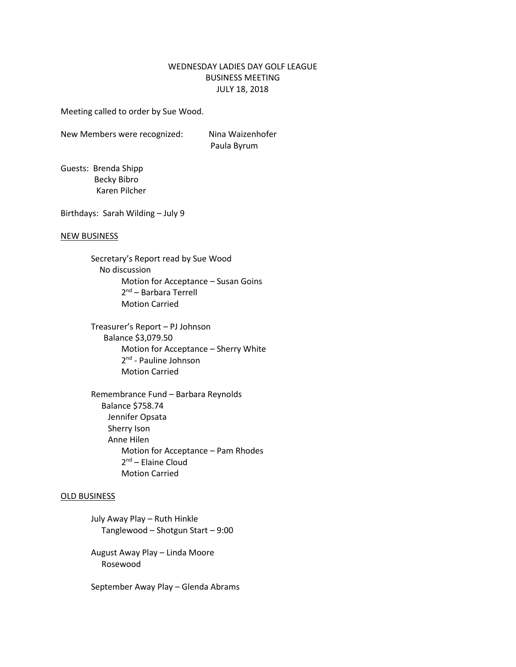# WEDNESDAY LADIES DAY GOLF LEAGUE BUSINESS MEETING JULY 18, 2018

Meeting called to order by Sue Wood.

New Members were recognized: Nina Waizenhofer

Paula Byrum

Guests: Brenda Shipp Becky Bibro Karen Pilcher

Birthdays: Sarah Wilding – July 9

#### NEW BUSINESS

Secretary's Report read by Sue Wood No discussion Motion for Acceptance – Susan Goins 2<sup>nd</sup> – Barbara Terrell Motion Carried

Treasurer's Report – PJ Johnson Balance \$3,079.50 Motion for Acceptance – Sherry White 2<sup>nd</sup> - Pauline Johnson Motion Carried

Remembrance Fund – Barbara Reynolds Balance \$758.74 Jennifer Opsata Sherry Ison Anne Hilen Motion for Acceptance – Pam Rhodes 2<sup>nd</sup> – Elaine Cloud Motion Carried

#### OLD BUSINESS

July Away Play – Ruth Hinkle Tanglewood – Shotgun Start – 9:00

August Away Play – Linda Moore Rosewood

September Away Play – Glenda Abrams